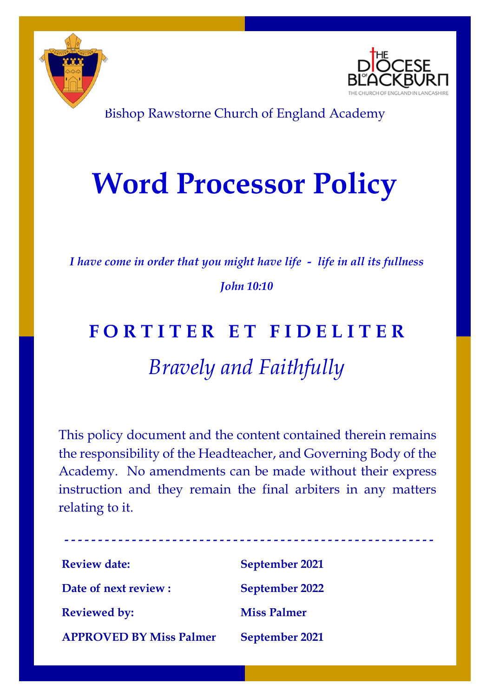



Bishop Rawstorne Church of England Academy

## **Word Processor Policy**

*I have come in order that you might have life - life in all its fullness John 10:10*

## **F O R T I T E R E T F I D E L I T E R** *Bravely and Faithfully*

This policy document and the content contained therein remains the responsibility of the Headteacher, and Governing Body of the Academy. No amendments can be made without their express instruction and they remain the final arbiters in any matters relating to it.

| <b>Review date:</b>            | September 2021        |
|--------------------------------|-----------------------|
| Date of next review :          | <b>September 2022</b> |
| <b>Reviewed by:</b>            | <b>Miss Palmer</b>    |
| <b>APPROVED BY Miss Palmer</b> | September 2021        |